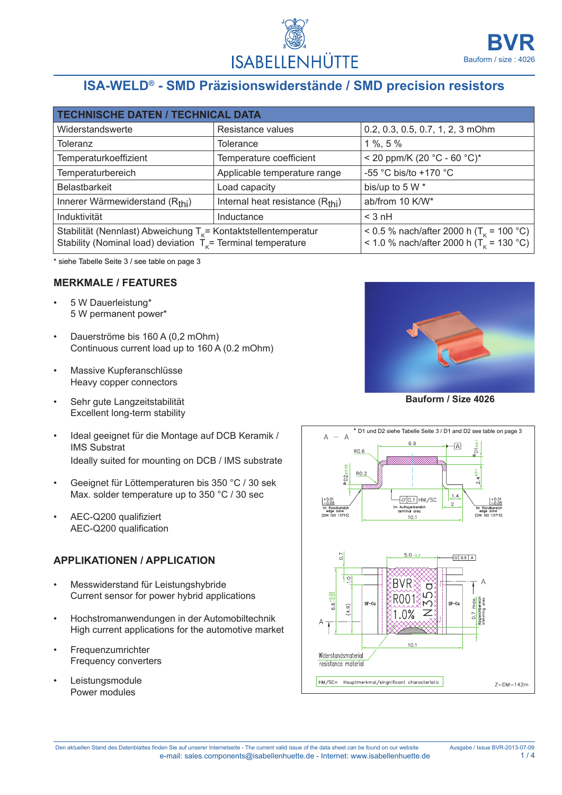

# **ISA-WELD® - SMD Präzisionswiderstände / SMD precision resistors**

| <b>TECHNISCHE DATEN / TECHNICAL DATA</b>                                                                                             |                                              |                                                                                                            |  |
|--------------------------------------------------------------------------------------------------------------------------------------|----------------------------------------------|------------------------------------------------------------------------------------------------------------|--|
| Widerstandswerte                                                                                                                     | Resistance values                            | 0.2, 0.3, 0.5, 0.7, 1, 2, 3 mOhm                                                                           |  |
| Toleranz                                                                                                                             | <b>Tolerance</b>                             | $1\%$ , 5 $\%$                                                                                             |  |
| Temperaturkoeffizient                                                                                                                | Temperature coefficient                      | < 20 ppm/K (20 °C - 60 °C)*                                                                                |  |
| Temperaturbereich                                                                                                                    | Applicable temperature range                 | -55 °C bis/to +170 °C                                                                                      |  |
| <b>Belastbarkeit</b>                                                                                                                 | Load capacity                                | bis/up to 5 W *                                                                                            |  |
| Innerer Wärmewiderstand (Rthi)                                                                                                       | Internal heat resistance (R <sub>thi</sub> ) | ab/from 10 K/W*                                                                                            |  |
| Induktivität                                                                                                                         | Inductance                                   | $<$ 3 nH                                                                                                   |  |
| Stabilität (Nennlast) Abweichung $T_k$ = Kontaktstellentemperatur<br>Stability (Nominal load) deviation $T_k$ = Terminal temperature |                                              | < 0.5 % nach/after 2000 h (T <sub>K</sub> = 100 °C)<br>< 1.0 % nach/after 2000 h (T <sub>K</sub> = 130 °C) |  |

\* siehe Tabelle Seite 3 / see table on page 3

#### **Merkmale / features**

- 5 W Dauerleistung\* 5 W permanent power\*
- Dauerströme bis 160 A (0,2 mOhm) Continuous current load up to 160 A (0.2 mOhm)
- Massive Kupferanschlüsse Heavy copper connectors
- Sehr gute Langzeitstabilität Excellent long-term stability
- Ideal geeignet für die Montage auf DCB Keramik / IMS Substrat Ideally suited for mounting on DCB / IMS substrate
- Geeignet für Löttemperaturen bis 350 °C / 30 sek Max. solder temperature up to 350 °C / 30 sec
- AEC-Q200 qualifiziert AEC-Q200 qualification

#### **Applikationen / application**

- Messwiderstand für Leistungshybride Current sensor for power hybrid applications
- Hochstromanwendungen in der Automobiltechnik High current applications for the automotive market
- Frequenzumrichter Frequency converters
- **Leistungsmodule** Power modules



**Bauform / Size 4026**

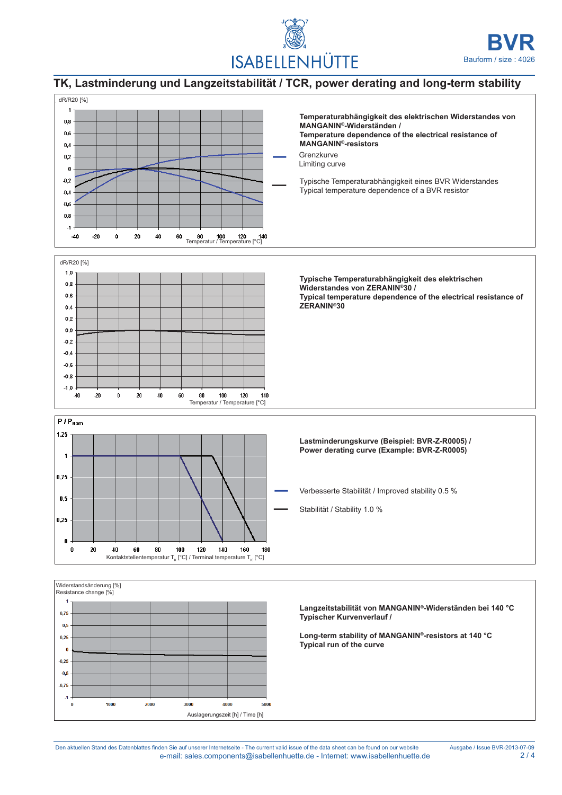

## **TK, Lastminderung und Langzeitstabilität / TCR, power derating and long-term stability**



Den aktuellen Stand des Datenblattes finden Sie auf unserer Internetseite - The current valid issue of the data sheet can be found on our website Ausgabe / Issue BVR-2013-07-09 e-mail: sales.components@isabellenhuette.de - Internet: www.isabellenhuette.de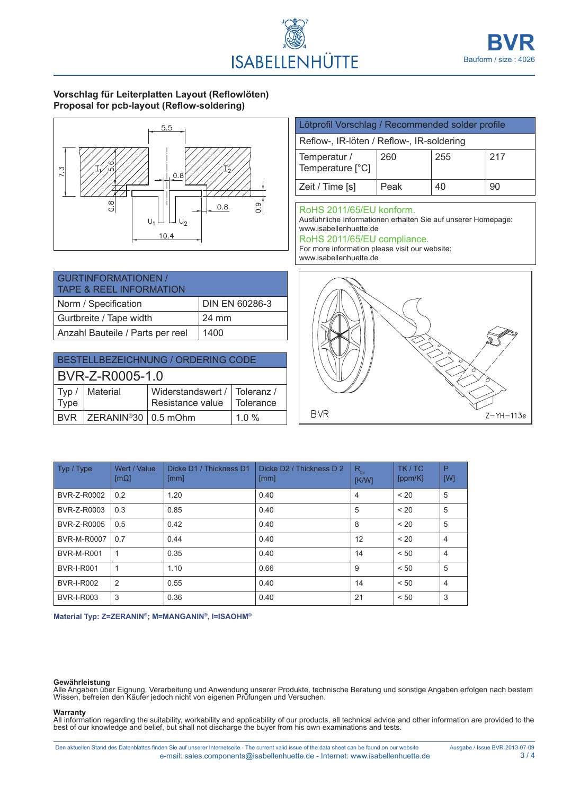

### **Vorschlag für Leiterplatten Layout (Reflowlöten) Proposal for pcb-layout (Reflow-soldering)**



| <b>GURTINFORMATIONEN /</b><br><b>TAPE &amp; REEL INFORMATION</b> |                |
|------------------------------------------------------------------|----------------|
| Norm / Specification                                             | DIN EN 60286-3 |
| Gurtbreite / Tape width                                          | 24 mm          |
| Anzahl Bauteile / Parts per reel                                 | 1400           |

| BESTELLBEZEICHNUNG / ORDERING CODE |                              |                                                  |           |
|------------------------------------|------------------------------|--------------------------------------------------|-----------|
| BVR-Z-R0005-1.0                    |                              |                                                  |           |
| Type                               | $\mathsf{Typ}$ /   Material  | Widerstandswert / Toleranz /<br>Resistance value | Tolerance |
|                                    | $BVR$ $ZERANIN^@30$ 0.5 mOhm |                                                  | 1 0 $%$   |

### Lötprofil Vorschlag / Recommended solder profile Reflow-, IR-löten / Reflow-, IR-soldering Temperatur / Temperature [°C] 260 255 217

#### RoHS 2011/65/EU konform.

Ausführliche Informationen erhalten Sie auf unserer Homepage: www.isabellenhuette.de

Zeit / Time [s]  $\left|$  Peak  $\left|$  40  $\right|$  90

#### RoHS 2011/65/EU compliance.

For more information please visit our website: www.isabellenhuette.de



| Typ / Type         | Wert / Value<br>$[m\Omega]$ | Dicke D1 / Thickness D1<br>[mm] | Dicke D <sub>2</sub> / Thickness D <sub>2</sub><br>[mm] | $R_{\text{thi}}$<br>[K/W] | TK/TC<br>[ppm/K] | P<br>[W]       |
|--------------------|-----------------------------|---------------------------------|---------------------------------------------------------|---------------------------|------------------|----------------|
| BVR-Z-R0002        | 0.2                         | 1.20                            | 0.40                                                    | 4                         | < 20             | 5              |
| BVR-Z-R0003        | 0.3                         | 0.85                            | 0.40                                                    | 5                         | < 20             | 5              |
| BVR-Z-R0005        | 0.5                         | 0.42                            | 0.40                                                    | 8                         | < 20             | 5              |
| <b>BVR-M-R0007</b> | 0.7                         | 0.44                            | 0.40                                                    | 12                        | < 20             | 4              |
| <b>BVR-M-R001</b>  | 1                           | 0.35                            | 0.40                                                    | 14                        | < 50             | 4              |
| <b>BVR-I-R001</b>  | 1                           | 1.10                            | 0.66                                                    | 9                         | < 50             | 5              |
| <b>BVR-I-R002</b>  | 2                           | 0.55                            | 0.40                                                    | 14                        | < 50             | $\overline{4}$ |
| <b>BVR-I-R003</b>  | 3                           | 0.36                            | 0.40                                                    | 21                        | < 50             | 3              |

**Material Typ: Z=ZERANIN®; M=MANGANIN®, I=ISAOHM®**

**Gewährleistung**<br>Alle Angaben über Eignung, Verarbeitung und Anwendung unserer Produkte, technische Beratung und sonstige Angaben erfolgen nach bestem Wissen, befreien den Käufer jedoch nicht von eigenen Prüfungen und Versuchen.

#### **Warranty**

All information regarding the suitability, workability and applicability of our products, all technical advice and other information are provided to the best of our knowledge and belief, but shall not discharge the buyer from his own examinations and tests.